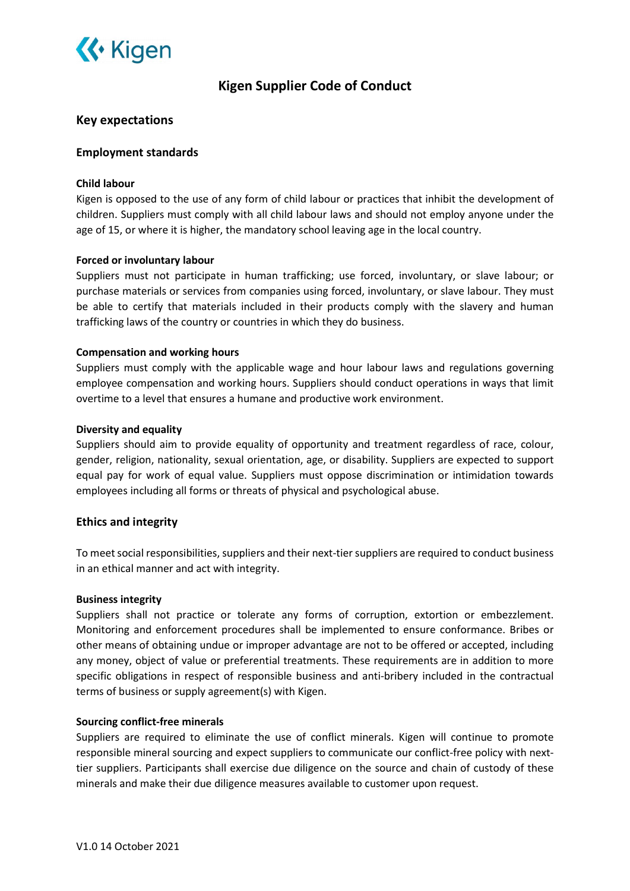

# Kigen Supplier Code of Conduct

# Key expectations

# Employment standards

# Child labour

Kigen is opposed to the use of any form of child labour or practices that inhibit the development of children. Suppliers must comply with all child labour laws and should not employ anyone under the age of 15, or where it is higher, the mandatory school leaving age in the local country.

# Forced or involuntary labour

Suppliers must not participate in human trafficking; use forced, involuntary, or slave labour; or purchase materials or services from companies using forced, involuntary, or slave labour. They must be able to certify that materials included in their products comply with the slavery and human trafficking laws of the country or countries in which they do business.

# Compensation and working hours

Suppliers must comply with the applicable wage and hour labour laws and regulations governing employee compensation and working hours. Suppliers should conduct operations in ways that limit overtime to a level that ensures a humane and productive work environment.

# Diversity and equality

Suppliers should aim to provide equality of opportunity and treatment regardless of race, colour, gender, religion, nationality, sexual orientation, age, or disability. Suppliers are expected to support equal pay for work of equal value. Suppliers must oppose discrimination or intimidation towards employees including all forms or threats of physical and psychological abuse.

# Ethics and integrity

To meet social responsibilities, suppliers and their next-tier suppliers are required to conduct business in an ethical manner and act with integrity.

# Business integrity

Suppliers shall not practice or tolerate any forms of corruption, extortion or embezzlement. Monitoring and enforcement procedures shall be implemented to ensure conformance. Bribes or other means of obtaining undue or improper advantage are not to be offered or accepted, including any money, object of value or preferential treatments. These requirements are in addition to more specific obligations in respect of responsible business and anti-bribery included in the contractual terms of business or supply agreement(s) with Kigen.

# Sourcing conflict-free minerals

Suppliers are required to eliminate the use of conflict minerals. Kigen will continue to promote responsible mineral sourcing and expect suppliers to communicate our conflict-free policy with nexttier suppliers. Participants shall exercise due diligence on the source and chain of custody of these minerals and make their due diligence measures available to customer upon request.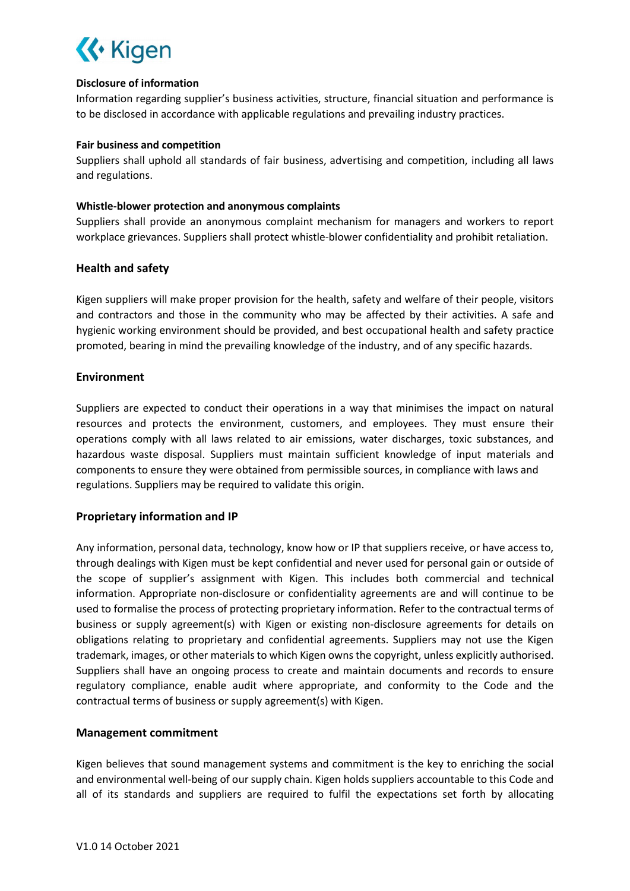

#### Disclosure of information

Information regarding supplier's business activities, structure, financial situation and performance is to be disclosed in accordance with applicable regulations and prevailing industry practices.

#### Fair business and competition

Suppliers shall uphold all standards of fair business, advertising and competition, including all laws and regulations.

# Whistle-blower protection and anonymous complaints

Suppliers shall provide an anonymous complaint mechanism for managers and workers to report workplace grievances. Suppliers shall protect whistle-blower confidentiality and prohibit retaliation.

# Health and safety

Kigen suppliers will make proper provision for the health, safety and welfare of their people, visitors and contractors and those in the community who may be affected by their activities. A safe and hygienic working environment should be provided, and best occupational health and safety practice promoted, bearing in mind the prevailing knowledge of the industry, and of any specific hazards.

# Environment

Suppliers are expected to conduct their operations in a way that minimises the impact on natural resources and protects the environment, customers, and employees. They must ensure their operations comply with all laws related to air emissions, water discharges, toxic substances, and hazardous waste disposal. Suppliers must maintain sufficient knowledge of input materials and components to ensure they were obtained from permissible sources, in compliance with laws and regulations. Suppliers may be required to validate this origin.

# Proprietary information and IP

Any information, personal data, technology, know how or IP that suppliers receive, or have access to, through dealings with Kigen must be kept confidential and never used for personal gain or outside of the scope of supplier's assignment with Kigen. This includes both commercial and technical information. Appropriate non-disclosure or confidentiality agreements are and will continue to be used to formalise the process of protecting proprietary information. Refer to the contractual terms of business or supply agreement(s) with Kigen or existing non-disclosure agreements for details on obligations relating to proprietary and confidential agreements. Suppliers may not use the Kigen trademark, images, or other materials to which Kigen owns the copyright, unless explicitly authorised. Suppliers shall have an ongoing process to create and maintain documents and records to ensure regulatory compliance, enable audit where appropriate, and conformity to the Code and the contractual terms of business or supply agreement(s) with Kigen.

# Management commitment

Kigen believes that sound management systems and commitment is the key to enriching the social and environmental well-being of our supply chain. Kigen holds suppliers accountable to this Code and all of its standards and suppliers are required to fulfil the expectations set forth by allocating